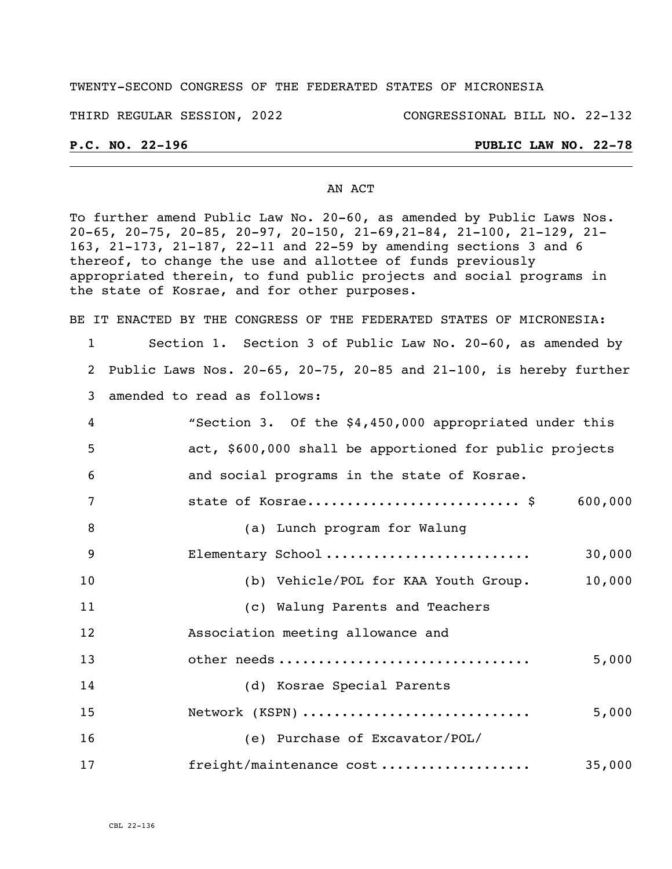## TWENTY-SECOND CONGRESS OF THE FEDERATED STATES OF MICRONESIA

THIRD REGULAR SESSION, 2022 CONGRESSIONAL BILL NO. 22-132

## **P.C. NO. 22-196 PUBLIC LAW NO. 22-78**

### AN ACT

To further amend Public Law No. 20-60, as amended by Public Laws Nos. 20-65, 20-75, 20-85, 20-97, 20-150, 21-69,21-84, 21-100, 21-129, 21- 163, 21-173, 21-187, 22-11 and 22-59 by amending sections 3 and 6 thereof, to change the use and allottee of funds previously appropriated therein, to fund public projects and social programs in the state of Kosrae, and for other purposes.

BE IT ENACTED BY THE CONGRESS OF THE FEDERATED STATES OF MICRONESIA:

- 1 Section 1. Section 3 of Public Law No. 20-60, as amended by 2 Public Laws Nos. 20-65, 20-75, 20-85 and 21-100, is hereby further 3 amended to read as follows:
- 4 "Section 3. Of the \$4,450,000 appropriated under this 5 act, \$600,000 shall be apportioned for public projects 6 and social programs in the state of Kosrae. 7 state of Kosrae........................... \$ 600,000 8 (a) Lunch program for Walung 9 Elementary School .......................... 30,000 10 (b) Vehicle/POL for KAA Youth Group. 10,000 11 (c) Walung Parents and Teachers 12 Association meeting allowance and 13 other needs ................................ 5,000 14 (d) Kosrae Special Parents 15 Network (KSPN) ............................. 5,000 16 (e) Purchase of Excavator/POL/
- 17 freight/maintenance cost ................... 35,000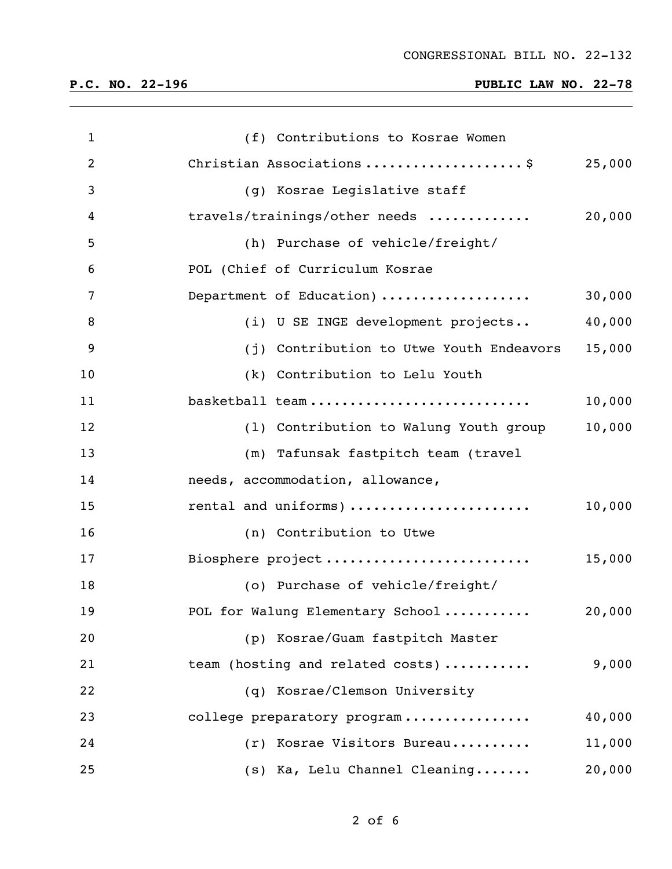# **P.C. NO. 22-196 PUBLIC LAW NO. 22-78**

| $\mathbf{1}$   | (f) Contributions to Kosrae Women        |        |
|----------------|------------------------------------------|--------|
| $\overline{2}$ | Christian Associations \$                | 25,000 |
| 3              | (g) Kosrae Legislative staff             |        |
| 4              | travels/trainings/other needs            | 20,000 |
| 5              | (h) Purchase of vehicle/freight/         |        |
| 6              | POL (Chief of Curriculum Kosrae          |        |
| 7              | Department of Education)                 | 30,000 |
| 8              | (i) U SE INGE development projects       | 40,000 |
| 9              | (j) Contribution to Utwe Youth Endeavors | 15,000 |
| 10             | (k) Contribution to Lelu Youth           |        |
| 11             | basketball team                          | 10,000 |
| 12             | (1) Contribution to Walung Youth group   | 10,000 |
| 13             | (m) Tafunsak fastpitch team (travel      |        |
| 14             | needs, accommodation, allowance,         |        |
| 15             | rental and uniforms)                     | 10,000 |
| 16             | (n) Contribution to Utwe                 |        |
| 17             | Biosphere project                        | 15,000 |
| 18             | (o) Purchase of vehicle/freight/         |        |
| 19             | POL for Walung Elementary School         | 20,000 |
| 20             | (p) Kosrae/Guam fastpitch Master         |        |
| 21             | team (hosting and related costs)         | 9,000  |
| 22             | (q) Kosrae/Clemson University            |        |
| 23             | college preparatory program              | 40,000 |
| 24             | Kosrae Visitors Bureau<br>(r)            | 11,000 |
| 25             | (s) Ka, Lelu Channel Cleaning            | 20,000 |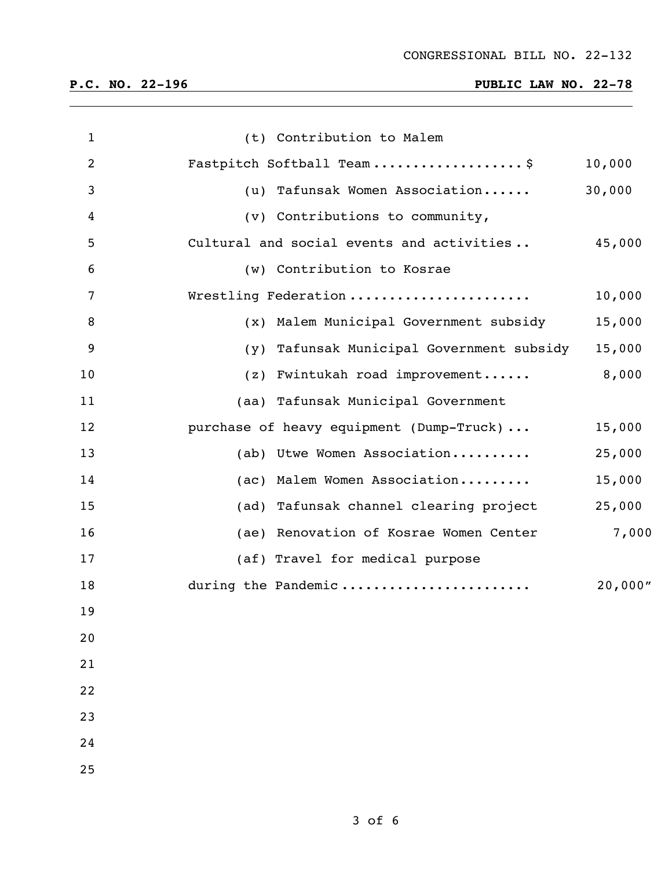# **P.C. NO. 22-196 PUBLIC LAW NO. 22-78**

| $\mathbf{1}$ | (t) Contribution to Malem                 |         |
|--------------|-------------------------------------------|---------|
| 2            | Fastpitch Softball Team\$                 | 10,000  |
| 3            | (u) Tafunsak Women Association            | 30,000  |
| 4            | (v) Contributions to community,           |         |
| 5            | Cultural and social events and activities | 45,000  |
| 6            | (w) Contribution to Kosrae                |         |
| 7            | Wrestling Federation                      | 10,000  |
| 8            | (x) Malem Municipal Government subsidy    | 15,000  |
| 9            | (y) Tafunsak Municipal Government subsidy | 15,000  |
| 10           | (z) Fwintukah road improvement            | 8,000   |
| 11           | (aa) Tafunsak Municipal Government        |         |
| 12           | purchase of heavy equipment (Dump-Truck)  | 15,000  |
| 13           | (ab) Utwe Women Association               | 25,000  |
| 14           | (ac) Malem Women Association              | 15,000  |
| 15           | (ad) Tafunsak channel clearing project    | 25,000  |
| 16           | (ae) Renovation of Kosrae Women Center    | 7,000   |
| 17           | (af) Travel for medical purpose           |         |
| 18           | during the Pandemic                       | 20,000" |
| 19           |                                           |         |
| 20           |                                           |         |
| 21           |                                           |         |
| 22           |                                           |         |
| 23           |                                           |         |
| 24           |                                           |         |
| 25           |                                           |         |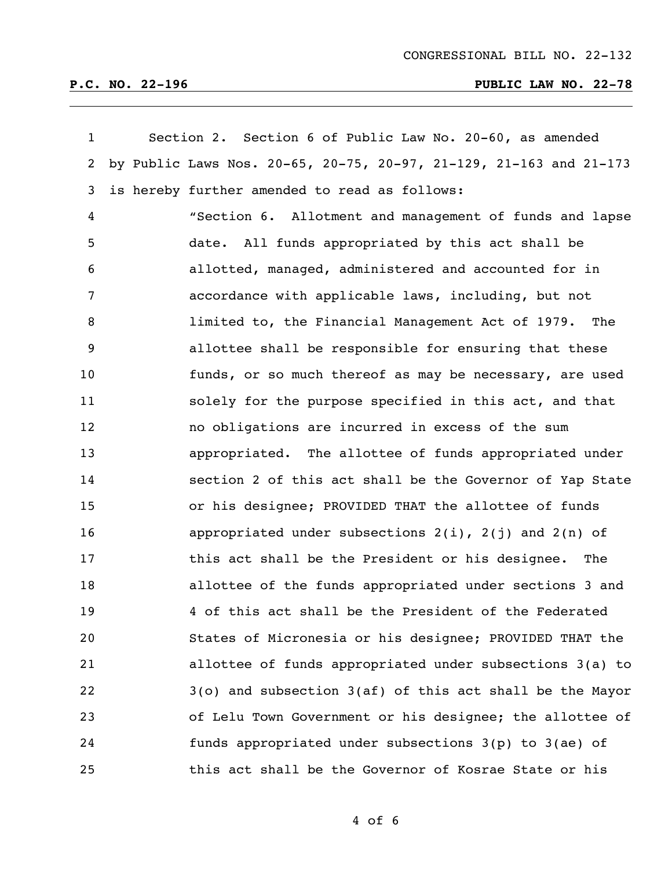| $\mathbf{1}$ | Section 2. Section 6 of Public Law No. 20-60, as amended           |
|--------------|--------------------------------------------------------------------|
| $\mathbf{2}$ | by Public Laws Nos. 20-65, 20-75, 20-97, 21-129, 21-163 and 21-173 |
| 3            | is hereby further amended to read as follows:                      |
| 4            | "Section 6. Allotment and management of funds and lapse            |
| 5            | date. All funds appropriated by this act shall be                  |
| 6            | allotted, managed, administered and accounted for in               |
| 7            | accordance with applicable laws, including, but not                |
| 8            | limited to, the Financial Management Act of 1979. The              |
| 9            | allottee shall be responsible for ensuring that these              |
| 10           | funds, or so much thereof as may be necessary, are used            |
| 11           | solely for the purpose specified in this act, and that             |
| 12           | no obligations are incurred in excess of the sum                   |
| 13           | appropriated. The allottee of funds appropriated under             |
| 14           | section 2 of this act shall be the Governor of Yap State           |
| 15           | or his designee; PROVIDED THAT the allottee of funds               |
| 16           | appropriated under subsections $2(i)$ , $2(j)$ and $2(n)$ of       |
| 17           | this act shall be the President or his designee. The               |
| 18           | allottee of the funds appropriated under sections 3 and            |
| 19           | 4 of this act shall be the President of the Federated              |
| 20           | States of Micronesia or his designee; PROVIDED THAT the            |
| 21           | allottee of funds appropriated under subsections 3(a) to           |
| 22           | $3$ (o) and subsection $3$ (af) of this act shall be the Mayor     |
| 23           | of Lelu Town Government or his designee; the allottee of           |
| 24           | funds appropriated under subsections 3(p) to 3(ae) of              |
| 25           | this act shall be the Governor of Kosrae State or his              |

of 6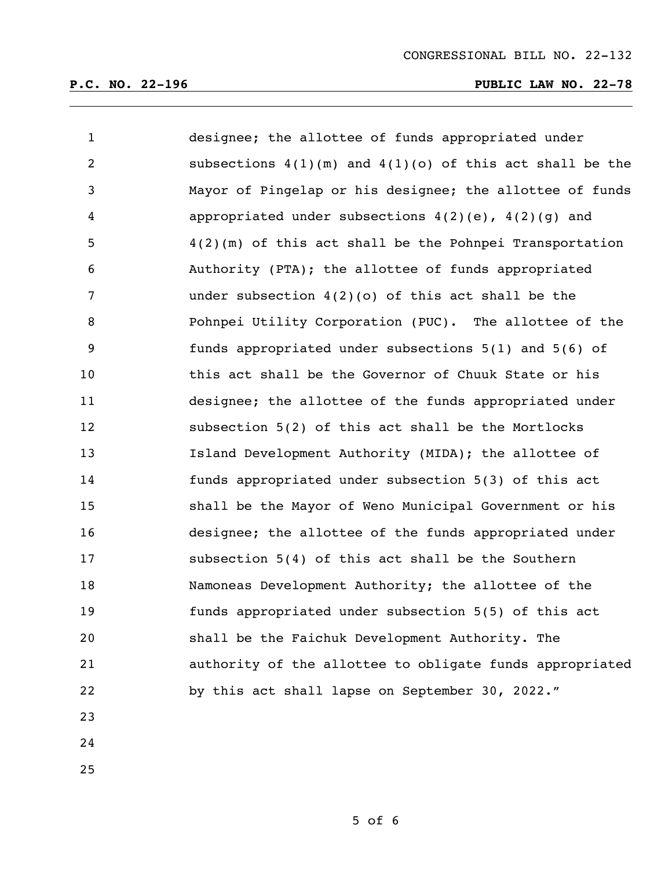# **P.C. NO. 22-196 PUBLIC LAW NO. 22-78**

| $\mathbf{1}$   | designee; the allottee of funds appropriated under           |
|----------------|--------------------------------------------------------------|
| $\overline{2}$ | subsections $4(1)(m)$ and $4(1)(o)$ of this act shall be the |
| $\mathbf{3}$   | Mayor of Pingelap or his designee; the allottee of funds     |
| $\overline{4}$ | appropriated under subsections $4(2)(e)$ , $4(2)(g)$ and     |
| 5              | $4(2)$ (m) of this act shall be the Pohnpei Transportation   |
| 6              | Authority (PTA); the allottee of funds appropriated          |
| 7              | under subsection $4(2)(0)$ of this act shall be the          |
| 8              | Pohnpei Utility Corporation (PUC). The allottee of the       |
| 9              | funds appropriated under subsections 5(1) and 5(6) of        |
| 10             | this act shall be the Governor of Chuuk State or his         |
| 11             | designee; the allottee of the funds appropriated under       |
| 12             | subsection 5(2) of this act shall be the Mortlocks           |
| 13             | Island Development Authority (MIDA); the allottee of         |
| 14             | funds appropriated under subsection 5(3) of this act         |
| 15             | shall be the Mayor of Weno Municipal Government or his       |
| 16             | designee; the allottee of the funds appropriated under       |
| 17             | subsection 5(4) of this act shall be the Southern            |
| 18             | Namoneas Development Authority; the allottee of the          |
| 19             | funds appropriated under subsection 5(5) of this act         |
| 20             | shall be the Faichuk Development Authority. The              |
| 21             | authority of the allottee to obligate funds appropriated     |
| 22             | by this act shall lapse on September 30, 2022."              |
| 23             |                                                              |
|                |                                                              |

- 
-